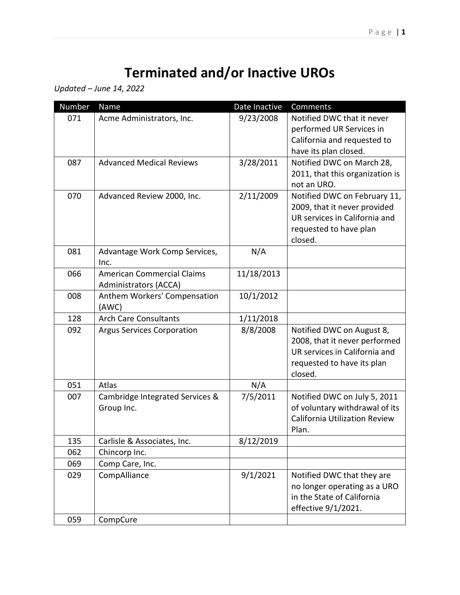## **Terminated and/or Inactive UROs**

*Updated – June 14, 2022* 

| Number | Name                                                       | Date Inactive | Comments                                                                                                                             |
|--------|------------------------------------------------------------|---------------|--------------------------------------------------------------------------------------------------------------------------------------|
| 071    | Acme Administrators, Inc.                                  | 9/23/2008     | Notified DWC that it never<br>performed UR Services in<br>California and requested to<br>have its plan closed.                       |
| 087    | <b>Advanced Medical Reviews</b>                            | 3/28/2011     | Notified DWC on March 28,<br>2011, that this organization is<br>not an URO.                                                          |
| 070    | Advanced Review 2000, Inc.                                 | 2/11/2009     | Notified DWC on February 11,<br>2009, that it never provided<br>UR services in California and<br>requested to have plan<br>closed.   |
| 081    | Advantage Work Comp Services,<br>Inc.                      | N/A           |                                                                                                                                      |
| 066    | <b>American Commercial Claims</b><br>Administrators (ACCA) | 11/18/2013    |                                                                                                                                      |
| 008    | Anthem Workers' Compensation<br>(AWC)                      | 10/1/2012     |                                                                                                                                      |
| 128    | <b>Arch Care Consultants</b>                               | 1/11/2018     |                                                                                                                                      |
| 092    | <b>Argus Services Corporation</b>                          | 8/8/2008      | Notified DWC on August 8,<br>2008, that it never performed<br>UR services in California and<br>requested to have its plan<br>closed. |
| 051    | Atlas                                                      | N/A           |                                                                                                                                      |
| 007    | Cambridge Integrated Services &<br>Group Inc.              | 7/5/2011      | Notified DWC on July 5, 2011<br>of voluntary withdrawal of its<br><b>California Utilization Review</b><br>Plan.                      |
| 135    | Carlisle & Associates, Inc.                                | 8/12/2019     |                                                                                                                                      |
| 062    | Chincorp Inc.                                              |               |                                                                                                                                      |
| 069    | Comp Care, Inc.                                            |               |                                                                                                                                      |
| 029    | CompAlliance                                               | 9/1/2021      | Notified DWC that they are<br>no longer operating as a URO<br>in the State of California<br>effective 9/1/2021.                      |
| 059    | CompCure                                                   |               |                                                                                                                                      |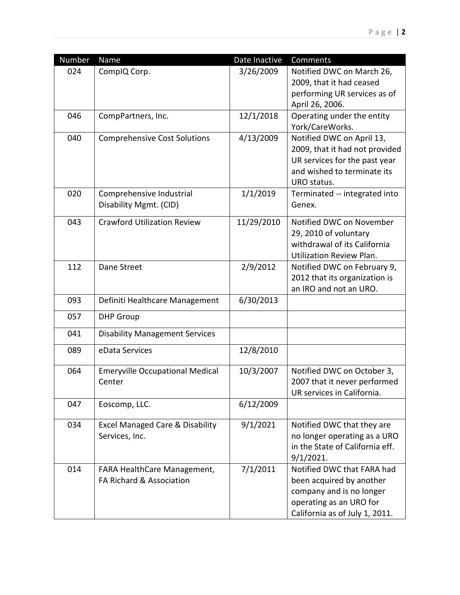| Number<br>Date Inactive<br>Comments<br>Name                                                                      |  |
|------------------------------------------------------------------------------------------------------------------|--|
| 024<br>CompIQ Corp.<br>3/26/2009<br>Notified DWC on March 26,                                                    |  |
| 2009, that it had ceased                                                                                         |  |
| performing UR services as of                                                                                     |  |
| April 26, 2006.                                                                                                  |  |
| 046<br>12/1/2018<br>Operating under the entity<br>CompPartners, Inc.                                             |  |
| York/CareWorks.                                                                                                  |  |
| 4/13/2009<br>040<br>Notified DWC on April 13,<br><b>Comprehensive Cost Solutions</b>                             |  |
| 2009, that it had not provided                                                                                   |  |
| UR services for the past year                                                                                    |  |
| and wished to terminate its                                                                                      |  |
| URO status.                                                                                                      |  |
| 020<br>1/1/2019<br>Comprehensive Industrial<br>Terminated -- integrated into<br>Disability Mgmt. (CID)<br>Genex. |  |
|                                                                                                                  |  |
| 043<br><b>Crawford Utilization Review</b><br>11/29/2010<br>Notified DWC on November                              |  |
| 29, 2010 of voluntary                                                                                            |  |
| withdrawal of its California                                                                                     |  |
| <b>Utilization Review Plan.</b>                                                                                  |  |
| 112<br>2/9/2012<br>Dane Street<br>Notified DWC on February 9,                                                    |  |
| 2012 that its organization is                                                                                    |  |
| an IRO and not an URO.                                                                                           |  |
| 093<br>6/30/2013<br>Definiti Healthcare Management                                                               |  |
| 057<br><b>DHP Group</b>                                                                                          |  |
| 041<br><b>Disability Management Services</b>                                                                     |  |
| 089<br>eData Services<br>12/8/2010                                                                               |  |
| 064<br><b>Emeryville Occupational Medical</b><br>10/3/2007<br>Notified DWC on October 3,                         |  |
| Center<br>2007 that it never performed                                                                           |  |
| UR services in California.                                                                                       |  |
| 6/12/2009<br>047<br>Eoscomp, LLC.                                                                                |  |
|                                                                                                                  |  |
| 9/1/2021<br>034<br><b>Excel Managed Care &amp; Disability</b><br>Notified DWC that they are                      |  |
| no longer operating as a URO<br>Services, Inc.                                                                   |  |
| in the State of California eff.                                                                                  |  |
| 9/1/2021.                                                                                                        |  |
| 7/1/2011<br>Notified DWC that FARA had<br>014<br>FARA HealthCare Management,                                     |  |
| FA Richard & Association<br>been acquired by another                                                             |  |
| company and is no longer<br>operating as an URO for                                                              |  |
| California as of July 1, 2011.                                                                                   |  |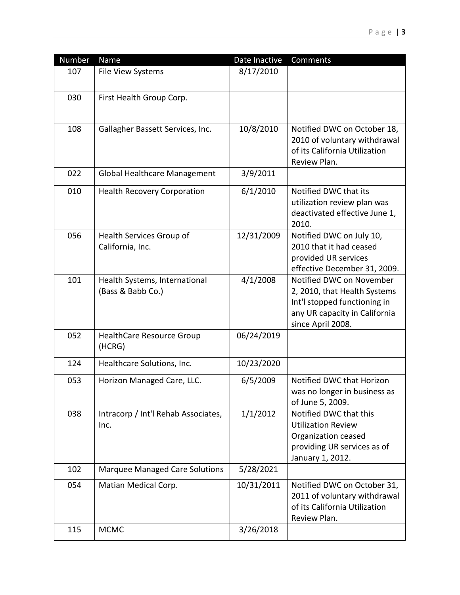| Number | Name                                               | Date Inactive | Comments                                                                                                                                       |
|--------|----------------------------------------------------|---------------|------------------------------------------------------------------------------------------------------------------------------------------------|
| 107    | File View Systems                                  | 8/17/2010     |                                                                                                                                                |
| 030    | First Health Group Corp.                           |               |                                                                                                                                                |
| 108    | Gallagher Bassett Services, Inc.                   | 10/8/2010     | Notified DWC on October 18,<br>2010 of voluntary withdrawal<br>of its California Utilization<br>Review Plan.                                   |
| 022    | <b>Global Healthcare Management</b>                | 3/9/2011      |                                                                                                                                                |
| 010    | <b>Health Recovery Corporation</b>                 | 6/1/2010      | Notified DWC that its<br>utilization review plan was<br>deactivated effective June 1,<br>2010.                                                 |
| 056    | Health Services Group of<br>California, Inc.       | 12/31/2009    | Notified DWC on July 10,<br>2010 that it had ceased<br>provided UR services<br>effective December 31, 2009.                                    |
| 101    | Health Systems, International<br>(Bass & Babb Co.) | 4/1/2008      | Notified DWC on November<br>2, 2010, that Health Systems<br>Int'l stopped functioning in<br>any UR capacity in California<br>since April 2008. |
| 052    | <b>HealthCare Resource Group</b><br>(HCRG)         | 06/24/2019    |                                                                                                                                                |
| 124    | Healthcare Solutions, Inc.                         | 10/23/2020    |                                                                                                                                                |
| 053    | Horizon Managed Care, LLC.                         | 6/5/2009      | Notified DWC that Horizon<br>was no longer in business as<br>of June 5, 2009.                                                                  |
| 038    | Intracorp / Int'l Rehab Associates,<br>Inc.        | 1/1/2012      | Notified DWC that this<br><b>Utilization Review</b><br>Organization ceased<br>providing UR services as of<br>January 1, 2012.                  |
| 102    | Marquee Managed Care Solutions                     | 5/28/2021     |                                                                                                                                                |
| 054    | Matian Medical Corp.                               | 10/31/2011    | Notified DWC on October 31,<br>2011 of voluntary withdrawal<br>of its California Utilization<br>Review Plan.                                   |
| 115    | <b>MCMC</b>                                        | 3/26/2018     |                                                                                                                                                |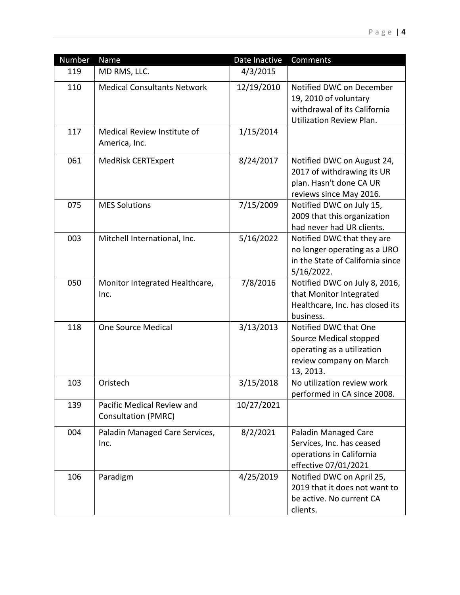| Number | Name                                                     | Date Inactive | Comments                                                                                                              |
|--------|----------------------------------------------------------|---------------|-----------------------------------------------------------------------------------------------------------------------|
| 119    | MD RMS, LLC.                                             | 4/3/2015      |                                                                                                                       |
| 110    | <b>Medical Consultants Network</b>                       | 12/19/2010    | Notified DWC on December<br>19, 2010 of voluntary<br>withdrawal of its California<br><b>Utilization Review Plan.</b>  |
| 117    | Medical Review Institute of<br>America, Inc.             | 1/15/2014     |                                                                                                                       |
| 061    | <b>MedRisk CERTExpert</b>                                | 8/24/2017     | Notified DWC on August 24,<br>2017 of withdrawing its UR<br>plan. Hasn't done CA UR<br>reviews since May 2016.        |
| 075    | <b>MES Solutions</b>                                     | 7/15/2009     | Notified DWC on July 15,<br>2009 that this organization<br>had never had UR clients.                                  |
| 003    | Mitchell International, Inc.                             | 5/16/2022     | Notified DWC that they are<br>no longer operating as a URO<br>in the State of California since<br>5/16/2022.          |
| 050    | Monitor Integrated Healthcare,<br>Inc.                   | 7/8/2016      | Notified DWC on July 8, 2016,<br>that Monitor Integrated<br>Healthcare, Inc. has closed its<br>business.              |
| 118    | <b>One Source Medical</b>                                | 3/13/2013     | Notified DWC that One<br>Source Medical stopped<br>operating as a utilization<br>review company on March<br>13, 2013. |
| 103    | Oristech                                                 | 3/15/2018     | No utilization review work<br>performed in CA since 2008.                                                             |
| 139    | Pacific Medical Review and<br><b>Consultation (PMRC)</b> | 10/27/2021    |                                                                                                                       |
| 004    | Paladin Managed Care Services,<br>Inc.                   | 8/2/2021      | Paladin Managed Care<br>Services, Inc. has ceased<br>operations in California<br>effective 07/01/2021                 |
| 106    | Paradigm                                                 | 4/25/2019     | Notified DWC on April 25,<br>2019 that it does not want to<br>be active. No current CA<br>clients.                    |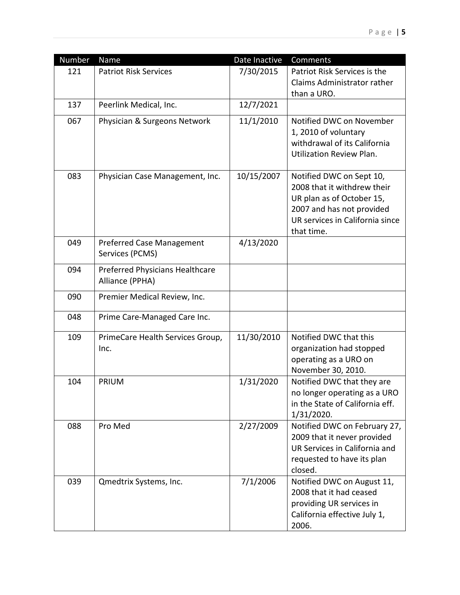| Number | Name                                   | Date Inactive | Comments                                                   |
|--------|----------------------------------------|---------------|------------------------------------------------------------|
| 121    | <b>Patriot Risk Services</b>           | 7/30/2015     | Patriot Risk Services is the                               |
|        |                                        |               | Claims Administrator rather                                |
|        |                                        |               | than a URO.                                                |
| 137    | Peerlink Medical, Inc.                 | 12/7/2021     |                                                            |
| 067    | Physician & Surgeons Network           | 11/1/2010     | Notified DWC on November                                   |
|        |                                        |               | 1, 2010 of voluntary                                       |
|        |                                        |               | withdrawal of its California                               |
|        |                                        |               | Utilization Review Plan.                                   |
| 083    | Physician Case Management, Inc.        | 10/15/2007    | Notified DWC on Sept 10,                                   |
|        |                                        |               | 2008 that it withdrew their                                |
|        |                                        |               | UR plan as of October 15,                                  |
|        |                                        |               | 2007 and has not provided                                  |
|        |                                        |               | UR services in California since                            |
| 049    | <b>Preferred Case Management</b>       | 4/13/2020     | that time.                                                 |
|        | Services (PCMS)                        |               |                                                            |
| 094    | <b>Preferred Physicians Healthcare</b> |               |                                                            |
|        | Alliance (PPHA)                        |               |                                                            |
| 090    | Premier Medical Review, Inc.           |               |                                                            |
|        |                                        |               |                                                            |
| 048    | Prime Care-Managed Care Inc.           |               |                                                            |
| 109    | PrimeCare Health Services Group,       | 11/30/2010    | Notified DWC that this                                     |
|        | Inc.                                   |               | organization had stopped                                   |
|        |                                        |               | operating as a URO on                                      |
| 104    |                                        |               | November 30, 2010.                                         |
|        | <b>PRIUM</b>                           | 1/31/2020     | Notified DWC that they are<br>no longer operating as a URO |
|        |                                        |               | in the State of California eff.                            |
|        |                                        |               | 1/31/2020.                                                 |
| 088    | Pro Med                                | 2/27/2009     | Notified DWC on February 27,                               |
|        |                                        |               | 2009 that it never provided                                |
|        |                                        |               | UR Services in California and                              |
|        |                                        |               | requested to have its plan                                 |
|        |                                        |               | closed.                                                    |
| 039    | Qmedtrix Systems, Inc.                 | 7/1/2006      | Notified DWC on August 11,                                 |
|        |                                        |               | 2008 that it had ceased<br>providing UR services in        |
|        |                                        |               | California effective July 1,                               |
|        |                                        |               | 2006.                                                      |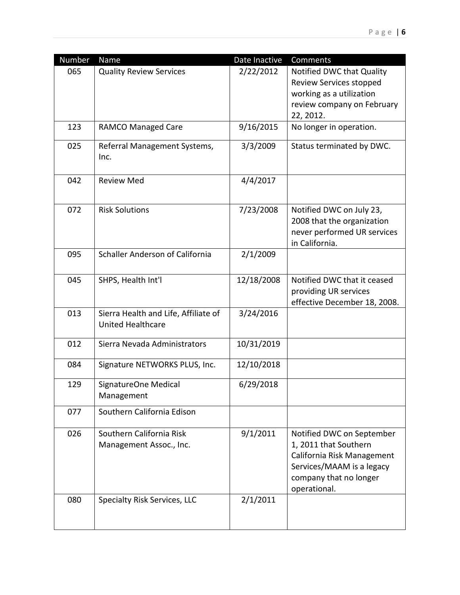| Number | Name                                                             | Date Inactive | Comments                                                                                                                                                |
|--------|------------------------------------------------------------------|---------------|---------------------------------------------------------------------------------------------------------------------------------------------------------|
| 065    | <b>Quality Review Services</b>                                   | 2/22/2012     | Notified DWC that Quality<br>Review Services stopped<br>working as a utilization<br>review company on February<br>22, 2012.                             |
| 123    | <b>RAMCO Managed Care</b>                                        | 9/16/2015     | No longer in operation.                                                                                                                                 |
| 025    | Referral Management Systems,<br>Inc.                             | 3/3/2009      | Status terminated by DWC.                                                                                                                               |
| 042    | <b>Review Med</b>                                                | 4/4/2017      |                                                                                                                                                         |
| 072    | <b>Risk Solutions</b>                                            | 7/23/2008     | Notified DWC on July 23,<br>2008 that the organization<br>never performed UR services<br>in California.                                                 |
| 095    | Schaller Anderson of California                                  | 2/1/2009      |                                                                                                                                                         |
| 045    | SHPS, Health Int'l                                               | 12/18/2008    | Notified DWC that it ceased<br>providing UR services<br>effective December 18, 2008.                                                                    |
| 013    | Sierra Health and Life, Affiliate of<br><b>United Healthcare</b> | 3/24/2016     |                                                                                                                                                         |
| 012    | Sierra Nevada Administrators                                     | 10/31/2019    |                                                                                                                                                         |
| 084    | Signature NETWORKS PLUS, Inc.                                    | 12/10/2018    |                                                                                                                                                         |
| 129    | SignatureOne Medical<br>Management                               | 6/29/2018     |                                                                                                                                                         |
| 077    | Southern California Edison                                       |               |                                                                                                                                                         |
| 026    | Southern California Risk<br>Management Assoc., Inc.              | 9/1/2011      | Notified DWC on September<br>1, 2011 that Southern<br>California Risk Management<br>Services/MAAM is a legacy<br>company that no longer<br>operational. |
| 080    | Specialty Risk Services, LLC                                     | 2/1/2011      |                                                                                                                                                         |